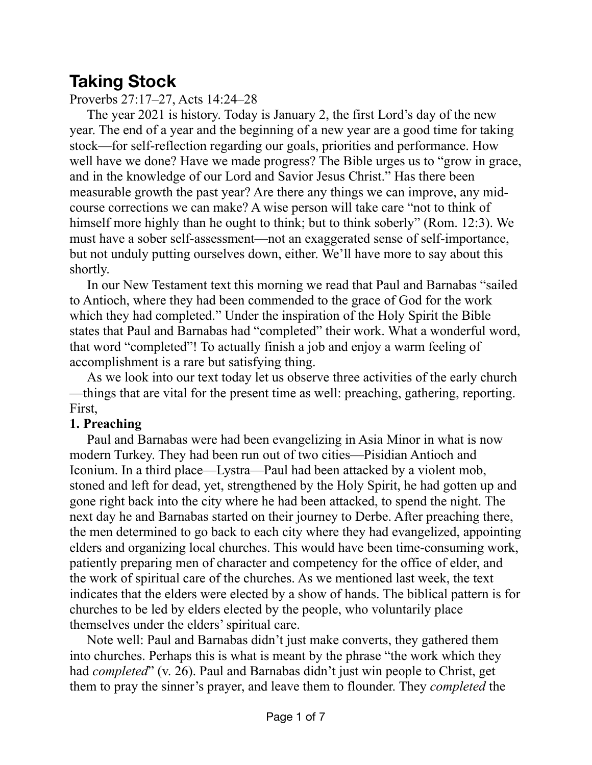## **Taking Stock**

Proverbs 27:17–27, Acts 14:24–28

The year 2021 is history. Today is January 2, the first Lord's day of the new year. The end of a year and the beginning of a new year are a good time for taking stock—for self-reflection regarding our goals, priorities and performance. How well have we done? Have we made progress? The Bible urges us to "grow in grace, and in the knowledge of our Lord and Savior Jesus Christ." Has there been measurable growth the past year? Are there any things we can improve, any midcourse corrections we can make? A wise person will take care "not to think of himself more highly than he ought to think; but to think soberly" (Rom. 12:3). We must have a sober self-assessment—not an exaggerated sense of self-importance, but not unduly putting ourselves down, either. We'll have more to say about this shortly.

In our New Testament text this morning we read that Paul and Barnabas "sailed to Antioch, where they had been commended to the grace of God for the work which they had completed." Under the inspiration of the Holy Spirit the Bible states that Paul and Barnabas had "completed" their work. What a wonderful word, that word "completed"! To actually finish a job and enjoy a warm feeling of accomplishment is a rare but satisfying thing.

As we look into our text today let us observe three activities of the early church —things that are vital for the present time as well: preaching, gathering, reporting. First,

## **1. Preaching**

Paul and Barnabas were had been evangelizing in Asia Minor in what is now modern Turkey. They had been run out of two cities—Pisidian Antioch and Iconium. In a third place—Lystra—Paul had been attacked by a violent mob, stoned and left for dead, yet, strengthened by the Holy Spirit, he had gotten up and gone right back into the city where he had been attacked, to spend the night. The next day he and Barnabas started on their journey to Derbe. After preaching there, the men determined to go back to each city where they had evangelized, appointing elders and organizing local churches. This would have been time-consuming work, patiently preparing men of character and competency for the office of elder, and the work of spiritual care of the churches. As we mentioned last week, the text indicates that the elders were elected by a show of hands. The biblical pattern is for churches to be led by elders elected by the people, who voluntarily place themselves under the elders' spiritual care.

Note well: Paul and Barnabas didn't just make converts, they gathered them into churches. Perhaps this is what is meant by the phrase "the work which they had *completed*" (v. 26). Paul and Barnabas didn't just win people to Christ, get them to pray the sinner's prayer, and leave them to flounder. They *completed* the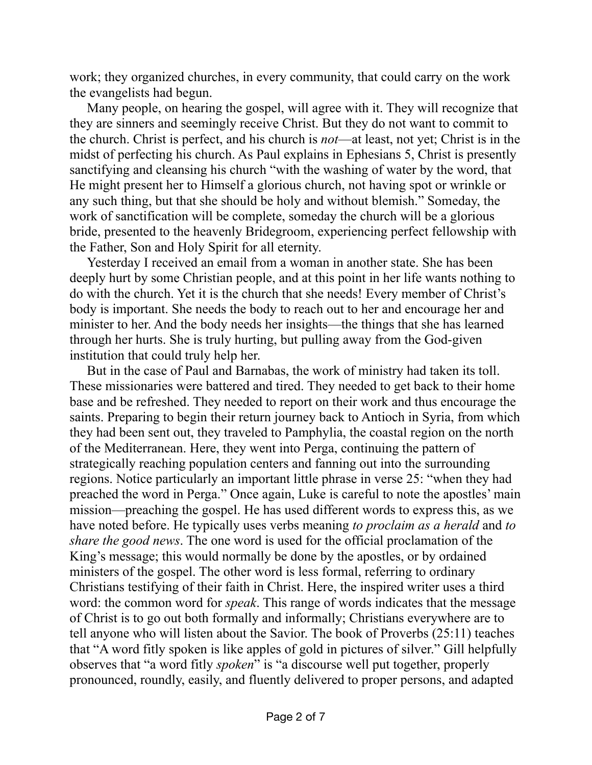work; they organized churches, in every community, that could carry on the work the evangelists had begun.

Many people, on hearing the gospel, will agree with it. They will recognize that they are sinners and seemingly receive Christ. But they do not want to commit to the church. Christ is perfect, and his church is *not*—at least, not yet; Christ is in the midst of perfecting his church. As Paul explains in Ephesians 5, Christ is presently sanctifying and cleansing his church "with the washing of water by the word, that He might present her to Himself a glorious church, not having spot or wrinkle or any such thing, but that she should be holy and without blemish." Someday, the work of sanctification will be complete, someday the church will be a glorious bride, presented to the heavenly Bridegroom, experiencing perfect fellowship with the Father, Son and Holy Spirit for all eternity.

Yesterday I received an email from a woman in another state. She has been deeply hurt by some Christian people, and at this point in her life wants nothing to do with the church. Yet it is the church that she needs! Every member of Christ's body is important. She needs the body to reach out to her and encourage her and minister to her. And the body needs her insights—the things that she has learned through her hurts. She is truly hurting, but pulling away from the God-given institution that could truly help her.

But in the case of Paul and Barnabas, the work of ministry had taken its toll. These missionaries were battered and tired. They needed to get back to their home base and be refreshed. They needed to report on their work and thus encourage the saints. Preparing to begin their return journey back to Antioch in Syria, from which they had been sent out, they traveled to Pamphylia, the coastal region on the north of the Mediterranean. Here, they went into Perga, continuing the pattern of strategically reaching population centers and fanning out into the surrounding regions. Notice particularly an important little phrase in verse 25: "when they had preached the word in Perga." Once again, Luke is careful to note the apostles' main mission—preaching the gospel. He has used different words to express this, as we have noted before. He typically uses verbs meaning *to proclaim as a herald* and *to share the good news*. The one word is used for the official proclamation of the King's message; this would normally be done by the apostles, or by ordained ministers of the gospel. The other word is less formal, referring to ordinary Christians testifying of their faith in Christ. Here, the inspired writer uses a third word: the common word for *speak*. This range of words indicates that the message of Christ is to go out both formally and informally; Christians everywhere are to tell anyone who will listen about the Savior. The book of Proverbs (25:11) teaches that "A word fitly spoken is like apples of gold in pictures of silver." Gill helpfully observes that "a word fitly *spoken*" is "a discourse well put together, properly pronounced, roundly, easily, and fluently delivered to proper persons, and adapted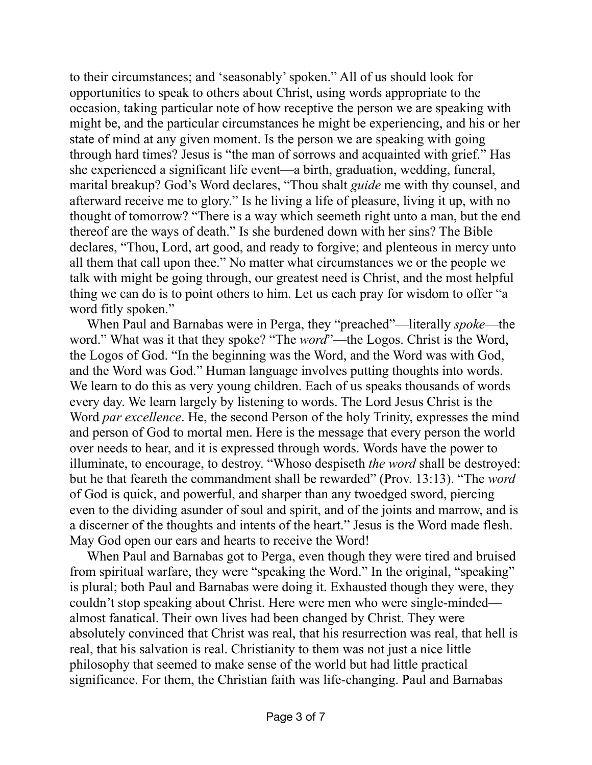to their circumstances; and 'seasonably' spoken." All of us should look for opportunities to speak to others about Christ, using words appropriate to the occasion, taking particular note of how receptive the person we are speaking with might be, and the particular circumstances he might be experiencing, and his or her state of mind at any given moment. Is the person we are speaking with going through hard times? Jesus is "the man of sorrows and acquainted with grief." Has she experienced a significant life event—a birth, graduation, wedding, funeral, marital breakup? God's Word declares, "Thou shalt *guide* me with thy counsel, and afterward receive me to glory." Is he living a life of pleasure, living it up, with no thought of tomorrow? "There is a way which seemeth right unto a man, but the end thereof are the ways of death." Is she burdened down with her sins? The Bible declares, "Thou, Lord, art good, and ready to forgive; and plenteous in mercy unto all them that call upon thee." No matter what circumstances we or the people we talk with might be going through, our greatest need is Christ, and the most helpful thing we can do is to point others to him. Let us each pray for wisdom to offer "a word fitly spoken."

When Paul and Barnabas were in Perga, they "preached"—literally *spoke*—the word." What was it that they spoke? "The *word*"—the Logos. Christ is the Word, the Logos of God. "In the beginning was the Word, and the Word was with God, and the Word was God." Human language involves putting thoughts into words. We learn to do this as very young children. Each of us speaks thousands of words every day. We learn largely by listening to words. The Lord Jesus Christ is the Word *par excellence*. He, the second Person of the holy Trinity, expresses the mind and person of God to mortal men. Here is the message that every person the world over needs to hear, and it is expressed through words. Words have the power to illuminate, to encourage, to destroy. "Whoso despiseth *the word* shall be destroyed: but he that feareth the commandment shall be rewarded" (Prov. 13:13). "The *word* of God is quick, and powerful, and sharper than any twoedged sword, piercing even to the dividing asunder of soul and spirit, and of the joints and marrow, and is a discerner of the thoughts and intents of the heart." Jesus is the Word made flesh. May God open our ears and hearts to receive the Word!

When Paul and Barnabas got to Perga, even though they were tired and bruised from spiritual warfare, they were "speaking the Word." In the original, "speaking" is plural; both Paul and Barnabas were doing it. Exhausted though they were, they couldn't stop speaking about Christ. Here were men who were single-minded almost fanatical. Their own lives had been changed by Christ. They were absolutely convinced that Christ was real, that his resurrection was real, that hell is real, that his salvation is real. Christianity to them was not just a nice little philosophy that seemed to make sense of the world but had little practical significance. For them, the Christian faith was life-changing. Paul and Barnabas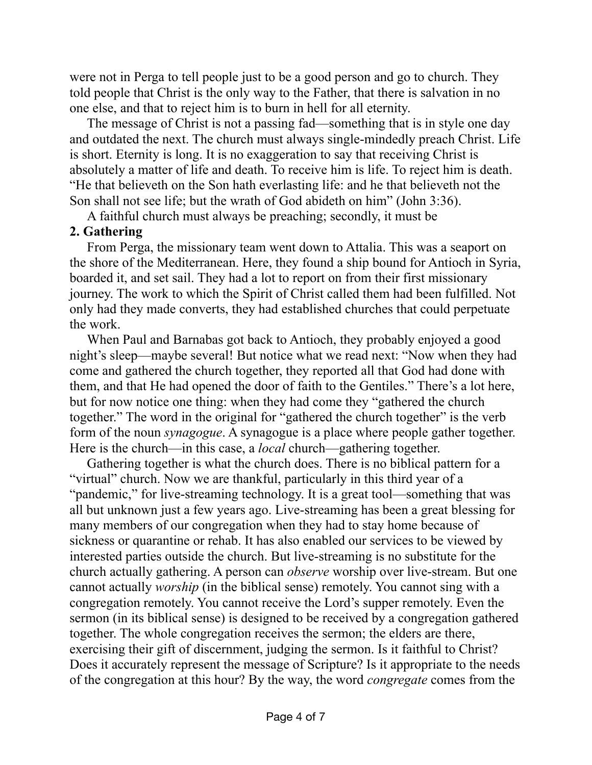were not in Perga to tell people just to be a good person and go to church. They told people that Christ is the only way to the Father, that there is salvation in no one else, and that to reject him is to burn in hell for all eternity.

The message of Christ is not a passing fad—something that is in style one day and outdated the next. The church must always single-mindedly preach Christ. Life is short. Eternity is long. It is no exaggeration to say that receiving Christ is absolutely a matter of life and death. To receive him is life. To reject him is death. "He that believeth on the Son hath everlasting life: and he that believeth not the Son shall not see life; but the wrath of God abideth on him" (John 3:36).

A faithful church must always be preaching; secondly, it must be

## **2. Gathering**

From Perga, the missionary team went down to Attalia. This was a seaport on the shore of the Mediterranean. Here, they found a ship bound for Antioch in Syria, boarded it, and set sail. They had a lot to report on from their first missionary journey. The work to which the Spirit of Christ called them had been fulfilled. Not only had they made converts, they had established churches that could perpetuate the work.

When Paul and Barnabas got back to Antioch, they probably enjoyed a good night's sleep—maybe several! But notice what we read next: "Now when they had come and gathered the church together, they reported all that God had done with them, and that He had opened the door of faith to the Gentiles." There's a lot here, but for now notice one thing: when they had come they "gathered the church together." The word in the original for "gathered the church together" is the verb form of the noun *synagogue*. A synagogue is a place where people gather together. Here is the church—in this case, a *local* church—gathering together.

Gathering together is what the church does. There is no biblical pattern for a "virtual" church. Now we are thankful, particularly in this third year of a "pandemic," for live-streaming technology. It is a great tool—something that was all but unknown just a few years ago. Live-streaming has been a great blessing for many members of our congregation when they had to stay home because of sickness or quarantine or rehab. It has also enabled our services to be viewed by interested parties outside the church. But live-streaming is no substitute for the church actually gathering. A person can *observe* worship over live-stream. But one cannot actually *worship* (in the biblical sense) remotely. You cannot sing with a congregation remotely. You cannot receive the Lord's supper remotely. Even the sermon (in its biblical sense) is designed to be received by a congregation gathered together. The whole congregation receives the sermon; the elders are there, exercising their gift of discernment, judging the sermon. Is it faithful to Christ? Does it accurately represent the message of Scripture? Is it appropriate to the needs of the congregation at this hour? By the way, the word *congregate* comes from the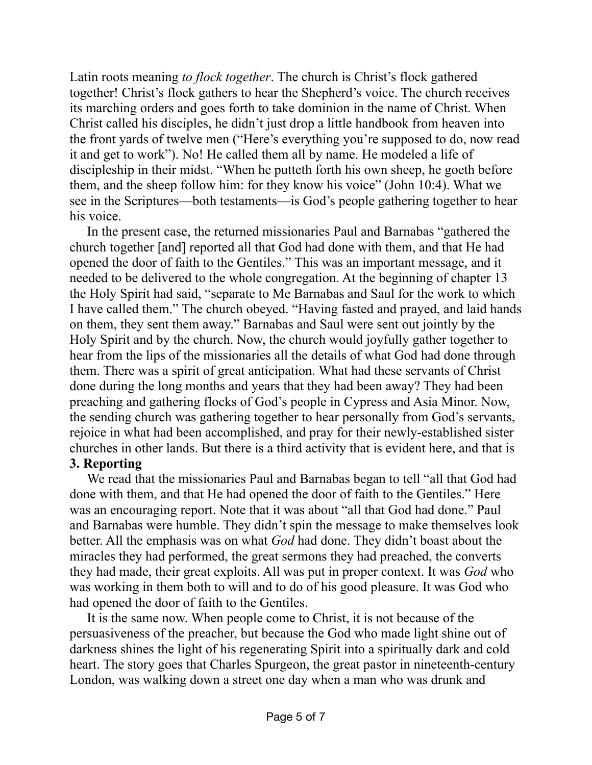Latin roots meaning *to flock together*. The church is Christ's flock gathered together! Christ's flock gathers to hear the Shepherd's voice. The church receives its marching orders and goes forth to take dominion in the name of Christ. When Christ called his disciples, he didn't just drop a little handbook from heaven into the front yards of twelve men ("Here's everything you're supposed to do, now read it and get to work"). No! He called them all by name. He modeled a life of discipleship in their midst. "When he putteth forth his own sheep, he goeth before them, and the sheep follow him: for they know his voice" (John 10:4). What we see in the Scriptures—both testaments—is God's people gathering together to hear his voice.

In the present case, the returned missionaries Paul and Barnabas "gathered the church together [and] reported all that God had done with them, and that He had opened the door of faith to the Gentiles." This was an important message, and it needed to be delivered to the whole congregation. At the beginning of chapter 13 the Holy Spirit had said, "separate to Me Barnabas and Saul for the work to which I have called them." The church obeyed. "Having fasted and prayed, and laid hands on them, they sent them away." Barnabas and Saul were sent out jointly by the Holy Spirit and by the church. Now, the church would joyfully gather together to hear from the lips of the missionaries all the details of what God had done through them. There was a spirit of great anticipation. What had these servants of Christ done during the long months and years that they had been away? They had been preaching and gathering flocks of God's people in Cypress and Asia Minor. Now, the sending church was gathering together to hear personally from God's servants, rejoice in what had been accomplished, and pray for their newly-established sister churches in other lands. But there is a third activity that is evident here, and that is

## **3. Reporting**

We read that the missionaries Paul and Barnabas began to tell "all that God had done with them, and that He had opened the door of faith to the Gentiles." Here was an encouraging report. Note that it was about "all that God had done." Paul and Barnabas were humble. They didn't spin the message to make themselves look better. All the emphasis was on what *God* had done. They didn't boast about the miracles they had performed, the great sermons they had preached, the converts they had made, their great exploits. All was put in proper context. It was *God* who was working in them both to will and to do of his good pleasure. It was God who had opened the door of faith to the Gentiles.

It is the same now. When people come to Christ, it is not because of the persuasiveness of the preacher, but because the God who made light shine out of darkness shines the light of his regenerating Spirit into a spiritually dark and cold heart. The story goes that Charles Spurgeon, the great pastor in nineteenth-century London, was walking down a street one day when a man who was drunk and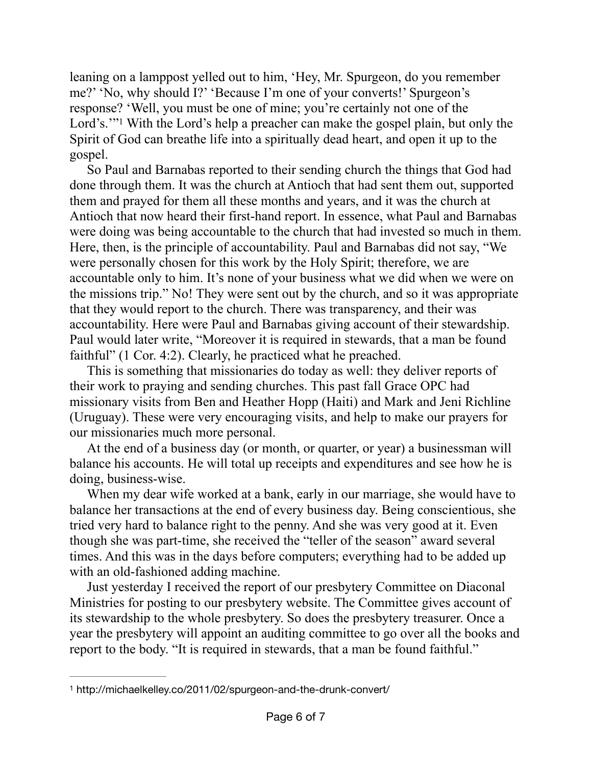<span id="page-5-1"></span>leaning on a lamppost yelled out to him, 'Hey, Mr. Spurgeon, do you remember me?' 'No, why should I?' 'Because I'm one of your converts!' Spurgeon's response? 'Well, you must be one of mine; you're certainly not one of the Lord's.'"With the Lord's help a preacher can make the gospel plain, but only the Spirit of God can breathe life into a spiritually dead heart, and open it up to the gospel.

So Paul and Barnabas reported to their sending church the things that God had done through them. It was the church at Antioch that had sent them out, supported them and prayed for them all these months and years, and it was the church at Antioch that now heard their first-hand report. In essence, what Paul and Barnabas were doing was being accountable to the church that had invested so much in them. Here, then, is the principle of accountability. Paul and Barnabas did not say, "We were personally chosen for this work by the Holy Spirit; therefore, we are accountable only to him. It's none of your business what we did when we were on the missions trip." No! They were sent out by the church, and so it was appropriate that they would report to the church. There was transparency, and their was accountability. Here were Paul and Barnabas giving account of their stewardship. Paul would later write, "Moreover it is required in stewards, that a man be found faithful" (1 Cor. 4:2). Clearly, he practiced what he preached.

This is something that missionaries do today as well: they deliver reports of their work to praying and sending churches. This past fall Grace OPC had missionary visits from Ben and Heather Hopp (Haiti) and Mark and Jeni Richline (Uruguay). These were very encouraging visits, and help to make our prayers for our missionaries much more personal.

At the end of a business day (or month, or quarter, or year) a businessman will balance his accounts. He will total up receipts and expenditures and see how he is doing, business-wise.

When my dear wife worked at a bank, early in our marriage, she would have to balance her transactions at the end of every business day. Being conscientious, she tried very hard to balance right to the penny. And she was very good at it. Even though she was part-time, she received the "teller of the season" award several times. And this was in the days before computers; everything had to be added up with an old-fashioned adding machine.

Just yesterday I received the report of our presbytery Committee on Diaconal Ministries for posting to our presbytery website. The Committee gives account of its stewardship to the whole presbytery. So does the presbytery treasurer. Once a year the presbytery will appoint an auditing committee to go over all the books and report to the body. "It is required in stewards, that a man be found faithful."

<span id="page-5-0"></span>http://michaelkelley.co/2011/02/spurgeon-and-the-drunk-convert/ [1](#page-5-1)